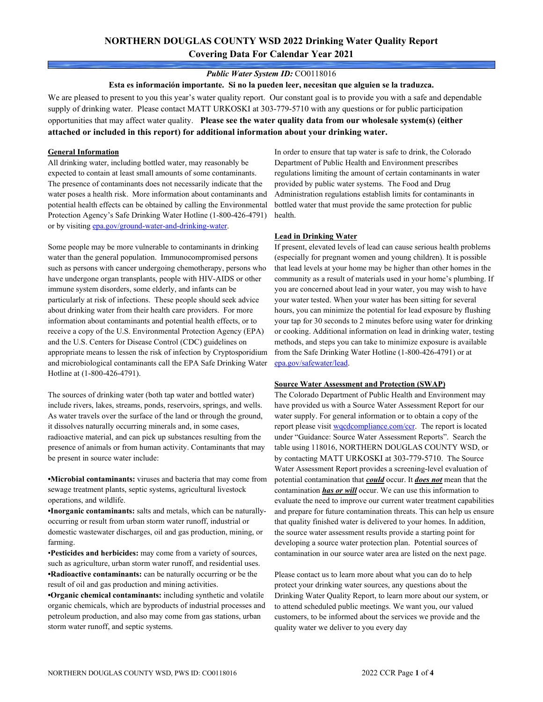## **NORTHERN DOUGLAS COUNTY WSD 2022 Drinking Water Quality Report Covering Data For Calendar Year 2021**

### *Public Water System ID:* CO0118016

**Esta es información importante. Si no la pueden leer, necesitan que alguien se la traduzca.**

We are pleased to present to you this year's water quality report. Our constant goal is to provide you with a safe and dependable supply of drinking water. Please contact MATT URKOSKI at 303-779-5710 with any questions or for public participation opportunities that may affect water quality. **Please see the water quality data from our wholesale system(s) (either attached or included in this report) for additional information about your drinking water.**

#### **General Information**

All drinking water, including bottled water, may reasonably be expected to contain at least small amounts of some contaminants. The presence of contaminants does not necessarily indicate that the water poses a health risk. More information about contaminants and potential health effects can be obtained by calling the Environmental Protection Agency's Safe Drinking Water Hotline (1-800-426-4791) or by visiting [epa.gov/ground-water-and-drinking-water.](https://www.epa.gov/ground-water-and-drinking-water)

Some people may be more vulnerable to contaminants in drinking water than the general population. Immunocompromised persons such as persons with cancer undergoing chemotherapy, persons who have undergone organ transplants, people with HIV-AIDS or other immune system disorders, some elderly, and infants can be particularly at risk of infections. These people should seek advice about drinking water from their health care providers. For more information about contaminants and potential health effects, or to receive a copy of the U.S. Environmental Protection Agency (EPA) and the U.S. Centers for Disease Control (CDC) guidelines on appropriate means to lessen the risk of infection by Cryptosporidium and microbiological contaminants call the EPA Safe Drinking Water Hotline at (1-800-426-4791).

The sources of drinking water (both tap water and bottled water) include rivers, lakes, streams, ponds, reservoirs, springs, and wells. As water travels over the surface of the land or through the ground, it dissolves naturally occurring minerals and, in some cases, radioactive material, and can pick up substances resulting from the presence of animals or from human activity. Contaminants that may be present in source water include:

**•Microbial contaminants:** viruses and bacteria that may come from sewage treatment plants, septic systems, agricultural livestock operations, and wildlife.

**•Inorganic contaminants:** salts and metals, which can be naturallyoccurring or result from urban storm water runoff, industrial or domestic wastewater discharges, oil and gas production, mining, or farming.

•**Pesticides and herbicides:** may come from a variety of sources, such as agriculture, urban storm water runoff, and residential uses. **•Radioactive contaminants:** can be naturally occurring or be the result of oil and gas production and mining activities.

**•Organic chemical contaminants:** including synthetic and volatile organic chemicals, which are byproducts of industrial processes and petroleum production, and also may come from gas stations, urban storm water runoff, and septic systems.

In order to ensure that tap water is safe to drink, the Colorado Department of Public Health and Environment prescribes regulations limiting the amount of certain contaminants in water provided by public water systems. The Food and Drug Administration regulations establish limits for contaminants in bottled water that must provide the same protection for public health.

### **Lead in Drinking Water**

If present, elevated levels of lead can cause serious health problems (especially for pregnant women and young children). It is possible that lead levels at your home may be higher than other homes in the community as a result of materials used in your home's plumbing. If you are concerned about lead in your water, you may wish to have your water tested. When your water has been sitting for several hours, you can minimize the potential for lead exposure by flushing your tap for 30 seconds to 2 minutes before using water for drinking or cooking. Additional information on lead in drinking water, testing methods, and steps you can take to minimize exposure is available from the Safe Drinking Water Hotline (1-800-426-4791) or at [epa.gov/safewater/lead.](http://www.epa.gov/safewater/lead) 

#### **Source Water Assessment and Protection (SWAP)**

The Colorado Department of Public Health and Environment may have provided us with a Source Water Assessment Report for our water supply. For general information or to obtain a copy of the report please visit [wqcdcompliance.com/ccr.](https://wqcdcompliance.com/ccr) The report is located under "Guidance: Source Water Assessment Reports". Search the table using 118016, NORTHERN DOUGLAS COUNTY WSD, or by contacting MATT URKOSKI at 303-779-5710. The Source Water Assessment Report provides a screening-level evaluation of potential contamination that *could* occur. It *does not* mean that the contamination *has or will* occur. We can use this information to evaluate the need to improve our current water treatment capabilities and prepare for future contamination threats. This can help us ensure that quality finished water is delivered to your homes. In addition, the source water assessment results provide a starting point for developing a source water protection plan. Potential sources of contamination in our source water area are listed on the next page.

Please contact us to learn more about what you can do to help protect your drinking water sources, any questions about the Drinking Water Quality Report, to learn more about our system, or to attend scheduled public meetings. We want you, our valued customers, to be informed about the services we provide and the quality water we deliver to you every day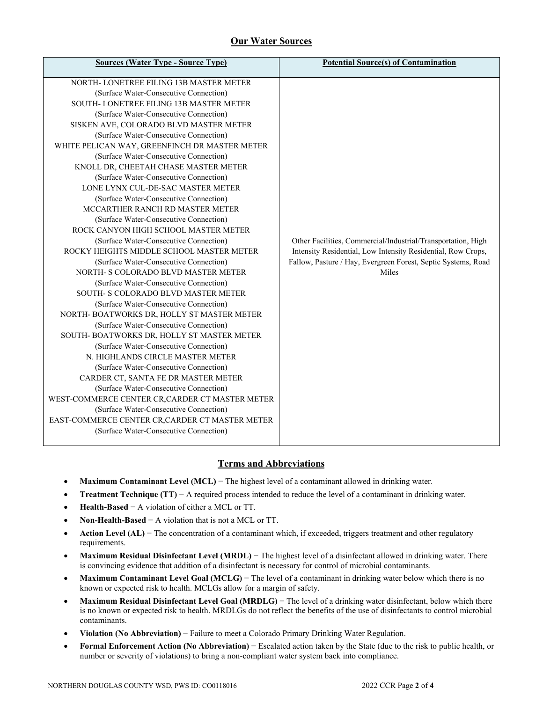# **Our Water Sources**

| <b>Sources (Water Type - Source Type)</b>       | <b>Potential Source(s) of Contamination</b>                   |
|-------------------------------------------------|---------------------------------------------------------------|
|                                                 |                                                               |
| NORTH- LONETREE FILING 13B MASTER METER         |                                                               |
| (Surface Water-Consecutive Connection)          |                                                               |
| SOUTH-LONETREE FILING 13B MASTER METER          |                                                               |
| (Surface Water-Consecutive Connection)          |                                                               |
| SISKEN AVE, COLORADO BLVD MASTER METER          |                                                               |
| (Surface Water-Consecutive Connection)          |                                                               |
| WHITE PELICAN WAY, GREENFINCH DR MASTER METER   |                                                               |
| (Surface Water-Consecutive Connection)          |                                                               |
| KNOLL DR, CHEETAH CHASE MASTER METER            |                                                               |
| (Surface Water-Consecutive Connection)          |                                                               |
| LONE LYNX CUL-DE-SAC MASTER METER               |                                                               |
| (Surface Water-Consecutive Connection)          |                                                               |
| MCCARTHER RANCH RD MASTER METER                 |                                                               |
| (Surface Water-Consecutive Connection)          |                                                               |
| ROCK CANYON HIGH SCHOOL MASTER METER            |                                                               |
| (Surface Water-Consecutive Connection)          | Other Facilities, Commercial/Industrial/Transportation, High  |
| ROCKY HEIGHTS MIDDLE SCHOOL MASTER METER        | Intensity Residential, Low Intensity Residential, Row Crops,  |
| (Surface Water-Consecutive Connection)          | Fallow, Pasture / Hay, Evergreen Forest, Septic Systems, Road |
| NORTH- S COLORADO BLVD MASTER METER             | Miles                                                         |
| (Surface Water-Consecutive Connection)          |                                                               |
| SOUTH- S COLORADO BLVD MASTER METER             |                                                               |
| (Surface Water-Consecutive Connection)          |                                                               |
| NORTH- BOATWORKS DR, HOLLY ST MASTER METER      |                                                               |
| (Surface Water-Consecutive Connection)          |                                                               |
| SOUTH-BOATWORKS DR, HOLLY ST MASTER METER       |                                                               |
| (Surface Water-Consecutive Connection)          |                                                               |
| N. HIGHLANDS CIRCLE MASTER METER                |                                                               |
| (Surface Water-Consecutive Connection)          |                                                               |
| CARDER CT, SANTA FE DR MASTER METER             |                                                               |
| (Surface Water-Consecutive Connection)          |                                                               |
| WEST-COMMERCE CENTER CR, CARDER CT MASTER METER |                                                               |
| (Surface Water-Consecutive Connection)          |                                                               |
| EAST-COMMERCE CENTER CR, CARDER CT MASTER METER |                                                               |
| (Surface Water-Consecutive Connection)          |                                                               |
|                                                 |                                                               |

## **Terms and Abbreviations**

- **Maximum Contaminant Level (MCL)** − The highest level of a contaminant allowed in drinking water.
- **Treatment Technique (TT)** − A required process intended to reduce the level of a contaminant in drinking water.
- **Health-Based** − A violation of either a MCL or TT.
- **Non-Health-Based** − A violation that is not a MCL or TT.
- **Action Level (AL)** − The concentration of a contaminant which, if exceeded, triggers treatment and other regulatory requirements.
- **Maximum Residual Disinfectant Level (MRDL)** − The highest level of a disinfectant allowed in drinking water. There is convincing evidence that addition of a disinfectant is necessary for control of microbial contaminants.
- **Maximum Contaminant Level Goal (MCLG)** − The level of a contaminant in drinking water below which there is no known or expected risk to health. MCLGs allow for a margin of safety.
- **Maximum Residual Disinfectant Level Goal (MRDLG)** − The level of a drinking water disinfectant, below which there is no known or expected risk to health. MRDLGs do not reflect the benefits of the use of disinfectants to control microbial contaminants.
- **Violation (No Abbreviation)** − Failure to meet a Colorado Primary Drinking Water Regulation.
- **Formal Enforcement Action (No Abbreviation)** − Escalated action taken by the State (due to the risk to public health, or number or severity of violations) to bring a non-compliant water system back into compliance.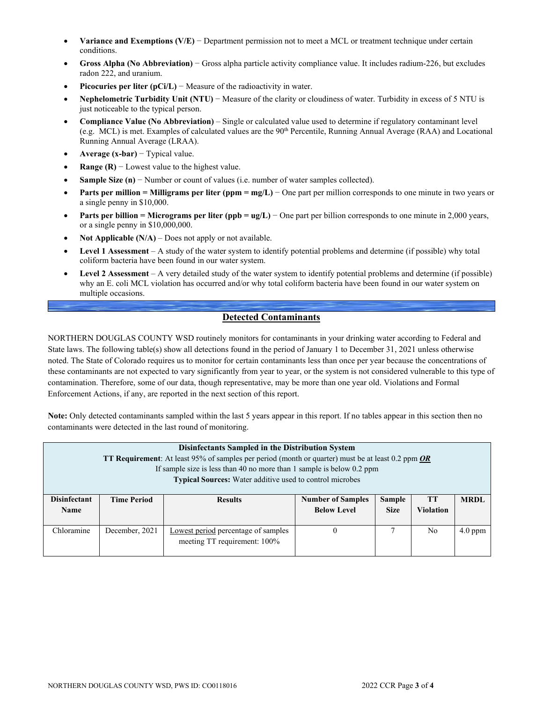- **Variance and Exemptions (V/E)** − Department permission not to meet a MCL or treatment technique under certain conditions.
- **Gross Alpha (No Abbreviation)** − Gross alpha particle activity compliance value. It includes radium-226, but excludes radon 222, and uranium.
- **Picocuries per liter (pCi/L)** − Measure of the radioactivity in water.
- **Nephelometric Turbidity Unit (NTU)** − Measure of the clarity or cloudiness of water. Turbidity in excess of 5 NTU is just noticeable to the typical person.
- **Compliance Value (No Abbreviation)** Single or calculated value used to determine if regulatory contaminant level (e.g. MCL) is met. Examples of calculated values are the 90<sup>th</sup> Percentile, Running Annual Average (RAA) and Locational Running Annual Average (LRAA).
- **Average (x-bar)** − Typical value.
- **Range (R)**  $-$  Lowest value to the highest value.
- **Sample Size (n)** − Number or count of values (i.e. number of water samples collected).
- **Parts per million = Milligrams per liter (ppm = mg/L)** − One part per million corresponds to one minute in two years or a single penny in \$10,000.
- **Parts per billion = Micrograms per liter (ppb = ug/L)** − One part per billion corresponds to one minute in 2,000 years, or a single penny in \$10,000,000.
- **Not Applicable (N/A)** Does not apply or not available.
- **Level 1 Assessment** A study of the water system to identify potential problems and determine (if possible) why total coliform bacteria have been found in our water system.
- **Level 2 Assessment** A very detailed study of the water system to identify potential problems and determine (if possible) why an E. coli MCL violation has occurred and/or why total coliform bacteria have been found in our water system on multiple occasions.

## **Detected Contaminants**

NORTHERN DOUGLAS COUNTY WSD routinely monitors for contaminants in your drinking water according to Federal and State laws. The following table(s) show all detections found in the period of January 1 to December 31, 2021 unless otherwise noted. The State of Colorado requires us to monitor for certain contaminants less than once per year because the concentrations of these contaminants are not expected to vary significantly from year to year, or the system is not considered vulnerable to this type of contamination. Therefore, some of our data, though representative, may be more than one year old. Violations and Formal Enforcement Actions, if any, are reported in the next section of this report.

**Note:** Only detected contaminants sampled within the last 5 years appear in this report. If no tables appear in this section then no contaminants were detected in the last round of monitoring.

| Disinfectants Sampled in the Distribution System<br><b>TT Requirement:</b> At least 95% of samples per period (month or quarter) must be at least 0.2 ppm OR<br>If sample size is less than 40 no more than 1 sample is below $0.2$ ppm<br>Typical Sources: Water additive used to control microbes |                    |                                                                     |                                                |                              |                               |             |  |  |
|-----------------------------------------------------------------------------------------------------------------------------------------------------------------------------------------------------------------------------------------------------------------------------------------------------|--------------------|---------------------------------------------------------------------|------------------------------------------------|------------------------------|-------------------------------|-------------|--|--|
| <b>Disinfectant</b><br><b>Name</b>                                                                                                                                                                                                                                                                  | <b>Time Period</b> | <b>Results</b>                                                      | <b>Number of Samples</b><br><b>Below Level</b> | <b>Sample</b><br><b>Size</b> | <b>TT</b><br><b>Violation</b> | <b>MRDL</b> |  |  |
| Chloramine                                                                                                                                                                                                                                                                                          | December, 2021     | Lowest period percentage of samples<br>meeting TT requirement: 100% | $\theta$                                       | 7                            | N <sub>0</sub>                | $4.0$ ppm   |  |  |